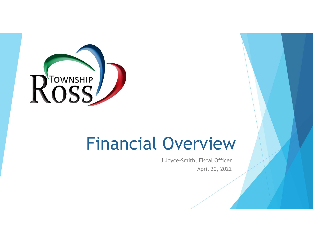

## Financial Overview

J Joyce-Smith, Fiscal Officer April 20, 2022

1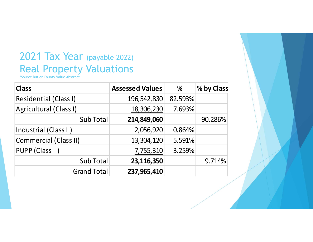## 2021 Tax Year (payable 2022) Real Property Valuations

| 2021 Tax Year (payable 2022)                         |                        |                       |            |
|------------------------------------------------------|------------------------|-----------------------|------------|
| <b>Real Property Valuations</b>                      |                        |                       |            |
| *Source Butler County Value Abstract<br><b>Class</b> | <b>Assessed Values</b> | $\frac{\%}{\sqrt{2}}$ | % by Class |
| Residential (Class I)                                | 196,542,830            | 82.593%               |            |
| Agricultural (Class I)                               | 18,306,230             | 7.693%                |            |
| <b>Sub Total</b>                                     | 214,849,060            |                       | 90.286%    |
| Industrial (Class II)                                | 2,056,920              | 0.864%                |            |
| <b>Commercial (Class II)</b>                         | 13,304,120             | 5.591%                |            |
| PUPP (Class II)                                      | 7,755,310              | 3.259%                |            |
| Sub Total                                            | 23,116,350             |                       | 9.714%     |
| <b>Grand Total</b>                                   | 237,965,410            |                       |            |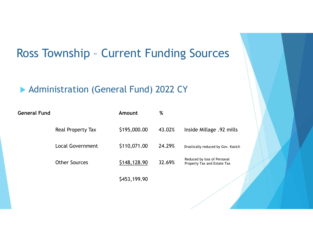# Ross Township - Current Funding Sources

## ▶ Administration (General Fund) 2022 CY

|                     | <b>Ross Township - Current Funding Sources</b> |              |        |                                                            |  |
|---------------------|------------------------------------------------|--------------|--------|------------------------------------------------------------|--|
|                     | Administration (General Fund) 2022 CY          |              |        |                                                            |  |
| <b>General Fund</b> |                                                | Amount       | %      |                                                            |  |
|                     | Real Property Tax                              | \$195,000.00 | 43.02% | Inside Millage .92 mills                                   |  |
|                     | <b>Local Government</b>                        | \$110,071.00 | 24.29% | Drastically reduced by Gov. Kasich                         |  |
|                     | <b>Other Sources</b>                           | \$148,128.90 | 32.69% | Reduced by loss of Personal<br>Property Tax and Estate Tax |  |
|                     |                                                | \$453,199.90 |        |                                                            |  |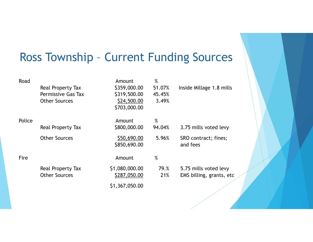# Ross Township – Current Funding Sources

|        | <b>Ross Township - Current Funding Sources</b> |                                             |                 |                                  |  |
|--------|------------------------------------------------|---------------------------------------------|-----------------|----------------------------------|--|
|        |                                                |                                             |                 |                                  |  |
| Road   | Real Property Tax                              | Amount<br>\$359,000.00                      | %<br>51.07%     | Inside Millage 1.8 mills         |  |
|        | Permissive Gas Tax<br><b>Other Sources</b>     | \$319,500.00<br>\$24,500.00<br>\$703,000.00 | 45.45%<br>3.49% |                                  |  |
| Police |                                                | Amount                                      | %               |                                  |  |
|        | Real Property Tax                              | \$800,000.00                                | 94.04%          | 3.75 mills voted levy            |  |
|        | <b>Other Sources</b>                           | \$50,690.00<br>\$850,690.00                 | 5.96%           | SRO contract; fines;<br>and fees |  |
| Fire   |                                                | Amount                                      | %               |                                  |  |
|        | Real Property Tax                              | \$1,080,000.00                              | 79.%            | 5.75 mills voted levy            |  |
|        | <b>Other Sources</b>                           | \$287,050.00                                | 21%             | EMS billing, grants, etc         |  |
|        |                                                | \$1,367,050.00                              |                 |                                  |  |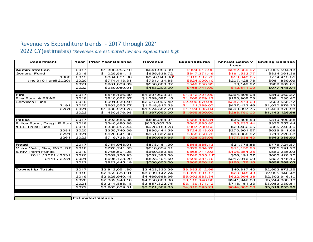## 2022 CY(estimates) \*Revenues are estimated low and expenditures high

| Revenue vs Expenditure trends - 2017 through 2021        |              |                                                                      |                                  |                                  |                              |                                  |
|----------------------------------------------------------|--------------|----------------------------------------------------------------------|----------------------------------|----------------------------------|------------------------------|----------------------------------|
|                                                          |              |                                                                      |                                  |                                  |                              |                                  |
|                                                          |              |                                                                      |                                  |                                  |                              |                                  |
|                                                          |              |                                                                      |                                  |                                  |                              |                                  |
|                                                          |              |                                                                      |                                  |                                  |                              |                                  |
|                                                          |              |                                                                      |                                  |                                  |                              |                                  |
|                                                          |              |                                                                      |                                  |                                  |                              |                                  |
|                                                          |              |                                                                      |                                  |                                  |                              |                                  |
|                                                          |              | 2022 CY(estimates) *Revenues are estimated low and expenditures high |                                  |                                  |                              |                                  |
|                                                          |              |                                                                      |                                  |                                  |                              |                                  |
| <b>Department</b>                                        | Year         | <b>Prior Year Balance</b>                                            | <b>Revenue</b>                   | <b>Expenditures</b>              | <b>Annual Gains v</b>        | <b>Ending Balance</b>            |
|                                                          |              |                                                                      |                                  |                                  | Loss                         |                                  |
| Administration<br><b>General Fund</b>                    | 2017<br>2018 | \$1,308,255.10<br>\$1,025,594.13                                     | \$641,956.99<br>\$655,838.72     | \$924,617.96<br>\$847,371.49     | \$282,660.97<br>\$191,532.77 | \$1,025,594.13<br>\$834,061.36   |
| 1000                                                     | 2019         | \$834,061.36                                                         | \$858,949.68                     | \$918,597.73                     | \$59,648.05                  | \$774,413.31                     |
| (inc 3101 until 2020)                                    | 2020         | \$774,413.31                                                         | \$731,434.88                     | \$524,009.10                     | \$207,425.78                 | \$981,839.09                     |
|                                                          | 2021         | \$981,839.09                                                         | \$558,000.87                     | \$549,850.95                     | \$8,149.92                   | \$989,989.01                     |
|                                                          | 2022         | \$989,989.01                                                         | \$453,200.00                     | \$465,741.00                     | \$12,541.00                  | \$977,448.01                     |
| $ $ Fire                                                 | 2017         | \$545,166.39                                                         | \$1,607,623.07                   | \$1,342,727.09                   | \$264,895.98                 | \$810,062.37                     |
| <b>Fire Fund &amp; FRAE</b>                              | 2018         | \$810,062.37                                                         | \$1,389,597.15                   | \$1,208,629.12                   | \$180,968.03                 | \$991,030.40                     |
| Services Fund<br>2191                                    | 2019<br>2020 | \$991,030.40<br>\$603,555.77                                         | \$2,013,095.42<br>\$1,548,812.53 | \$2,400,570.05<br>\$1,121,389.07 | \$387,474.63<br>\$427,423.46 | \$603,555.77<br>\$1,030,979.23   |
| 2281                                                     | 2021         | \$1,030,979.23                                                       | \$1,524,582.79                   | \$1,124,685.04                   | \$399,897.75                 | \$1,430,876.98                   |
|                                                          | 2022         | \$1,430,876.98                                                       | \$1,367,050.00                   | \$1,655,800.00                   | \$288,750.00                 | \$1,142,126.98                   |
|                                                          |              |                                                                      |                                  |                                  |                              |                                  |
| Police<br>Police Fund, Drug LE Fun                       | 2017<br>2018 | \$303,685.35<br>\$340,490.88                                         | \$595,288.34<br>\$635,652.36     | \$558,482.81<br>\$640,885.80     | \$36,805.53<br>\$5,233.44    | \$340,490.88<br>\$335,257.44     |
| & LE Trust Fund                                          | 2019         | \$335,257.44                                                         | \$928,183.28                     | \$907,700.63                     | \$20,482.65                  | \$355,740.09                     |
| 2081                                                     | 2020         | \$355,740.09                                                         | \$995,444.59                     | \$724,543.02                     | \$270,901.57                 | \$626,641.66                     |
|                                                          | 2021         | \$626,641.66<br>\$719,728.33                                         | \$951,337.40<br>\$850,689.65     | \$858,250.73<br>\$1,028,028.05   | \$93,086.67<br>\$177,338.40  | \$719,728.33<br>\$542,389.93     |
| 2221                                                     |              |                                                                      |                                  |                                  |                              |                                  |
| 2261                                                     | 2022         |                                                                      |                                  | \$556,685.13                     | \$21,776.86                  | \$776,724.87                     |
|                                                          | 2017         | \$754,948.01                                                         | \$578,461.99                     |                                  |                              |                                  |
|                                                          |              | \$776,741.53                                                         | \$618,054.51                     | \$629,204.76                     | \$11,150.25                  | \$765,591.28                     |
|                                                          | 2019         | \$765,591.28                                                         | \$669,360.58                     | \$865,714.93                     | \$196,354.35                 | \$569,236.93                     |
| 2011 / 2021 / 2031                                       | 2020         | \$569,236.93<br>\$605,428.20                                         | \$782,396.38<br>\$823,401.69     | \$746,205.11<br>\$606,384.70     | \$36,191.27                  | \$605,428.20                     |
| 2141 / 2231                                              | 2021<br>2022 | \$822,445.19                                                         | \$700,650.00                     | \$866,826.16                     | \$217,016.99<br>\$166,176.16 | \$822,445.19<br>\$656,269.03     |
| Road<br>Motor Veh., Gas, R&B, RD 2018<br>& MV Perm Funds |              |                                                                      |                                  |                                  |                              |                                  |
| <b>Township Totals</b>                                   | 2017         | \$2,912,054.85                                                       | \$3,423,330.39                   | \$3,382,512.99                   | \$40,817.40                  | \$2,952,872.25                   |
|                                                          | 2018<br>2019 | \$2,952,888.91<br>\$2,925,940.48                                     | \$3,299,142.74<br>\$4,469,588.96 | \$3,326,091.17<br>\$5,092,583.34 | \$26,948.43<br>\$622,994.38  | \$2,925,940.48<br>\$2,302,946.10 |
|                                                          | 2020         | \$2,302,946.10                                                       | \$4,058,088.38                   | \$3,116,146.30                   | \$941,942.08                 | \$3,244,888.18                   |
|                                                          | 2021         | \$3,244,888.18                                                       | \$3,857,322.75                   | \$3,139,171.42                   | \$718,151.33                 | \$3,963,039.51                   |
|                                                          | 2022         | \$3,963,039.51                                                       | \$3,371,589.65                   | \$4,016,395.21                   | \$644,805.56                 | \$3,318,233.95                   |
|                                                          |              | <b>Estimated Values</b>                                              |                                  |                                  |                              |                                  |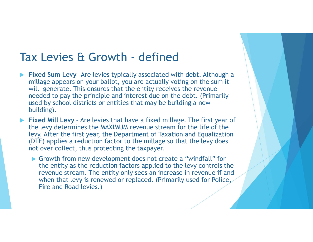- Tax Levies & Growth defined<br>► Fixed Sum Levy -Are levies typically associated with debt. Although a<br>millage appears on your ballot, you are actually voting on the sum it ▶ Fixed Sum Levy -Are levies typically associated with debt. Although a millage appears on your ballot, you are actually voting on the sum it will generate. This ensures that the entity receives the revenue needed to pay the principle and interest due on the debt. (Primarily used by school districts or entities that may be building a new building). Fixed Sum Levy - Are levies typically associated with debt. Although a millage appears on your ballot, you are actually voting on the sum it will generate. This ensures that the entity receives the revenue needed to pay t
- the levy determines the MAXIMUM revenue stream for the life of the levy. After the first year, the Department of Taxation and Equalization (DTE) applies a reduction factor to the millage so that the levy does not over collect, thus protecting the taxpayer.
	- Growth from new development does not create a "windfall" for the entity as the reduction factors applied to the levy controls the revenue stream. The entity only sees an increase in revenue if and when that levy is renewed or replaced. (Primarily used for Police, Fire and Road levies.)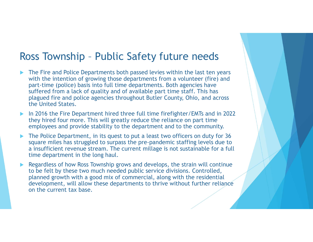- Ross Township Public Safety future needs<br>
The Fire and Police Departments both passed levies within the last ten years<br>
with the intention of growing those departments from a volunteer (fire) and<br>
Some the intention of g The Fire and Police Departments both passed levies within the last ten years with the intention of growing those departments from a volunteer (fire) and part-time (police) basis into full time departments. Both agencies have suffered from a lack of quality and of available part time staff. This has plagued fire and police agencies throughout Butler County, Ohio, and across the United States.
- In 2016 the Fire Department hired three full time firefighter/EMTs and in 2022 they hired four more. This will greatly reduce the reliance on part time employees and provide stability to the department and to the community.
- The Police Department, in its quest to put a least two officers on duty for 36 square miles has struggled to surpass the pre-pandemic staffing levels due to a insufficient revenue stream. The current millage is not sustainable for a full time department in the long haul.
- Regardless of how Ross Township grows and develops, the strain will continue to be felt by these two much needed public service divisions. Controlled, planned growth with a good mix of commercial, along with the residential development, will allow these departments to thrive without further reliance on the current tax base.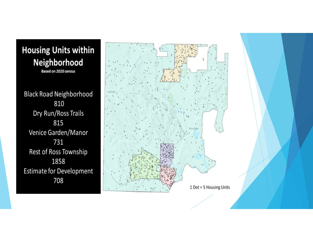

**Black Road Neighborhood** 810 Dry Run/Ross Trails 815 Venice Garden/Manor 731 Rest of Ross Township 1858 **Estimate for Development** 708